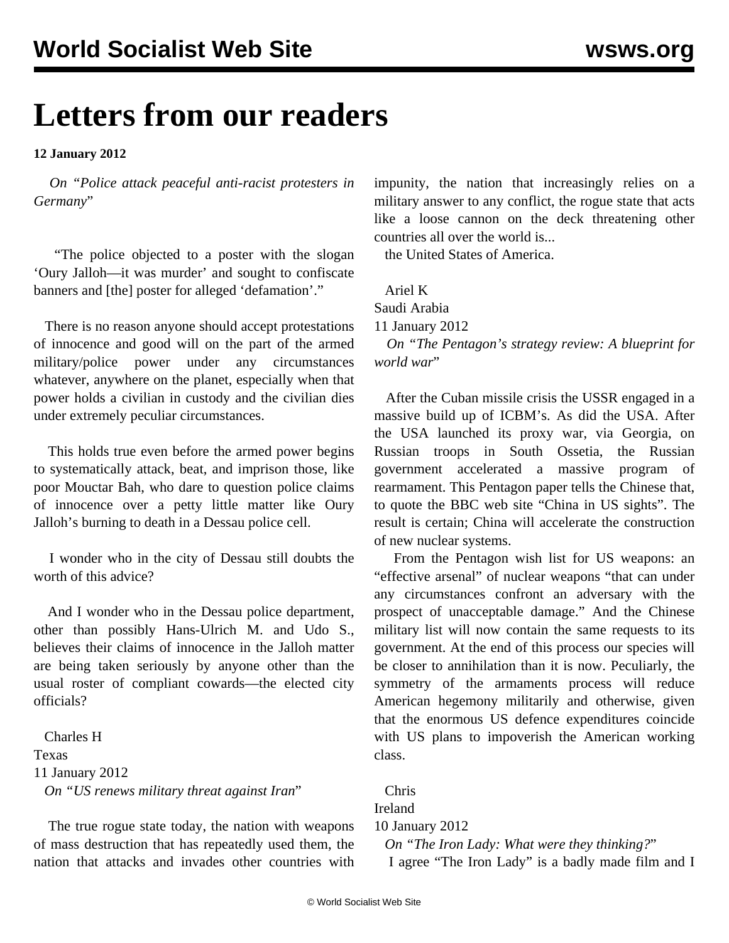## **Letters from our readers**

**12 January 2012**

 *On ["Police attack peaceful anti-racist protesters in](/en/articles/2012/jan2012/oury-j11.shtml) [Germany](/en/articles/2012/jan2012/oury-j11.shtml)*"

 "The police objected to a poster with the slogan 'Oury Jalloh—it was murder' and sought to confiscate banners and [the] poster for alleged 'defamation'."

 There is no reason anyone should accept protestations of innocence and good will on the part of the armed military/police power under any circumstances whatever, anywhere on the planet, especially when that power holds a civilian in custody and the civilian dies under extremely peculiar circumstances.

 This holds true even before the armed power begins to systematically attack, beat, and imprison those, like poor Mouctar Bah, who dare to question police claims of innocence over a petty little matter like Oury Jalloh's burning to death in a Dessau police cell.

 I wonder who in the city of Dessau still doubts the worth of this advice?

 And I wonder who in the Dessau police department, other than possibly Hans-Ulrich M. and Udo S., believes their claims of innocence in the Jalloh matter are being taken seriously by anyone other than the usual roster of compliant cowards—the elected city officials?

 Charles H Texas 11 January 2012 *On "[US renews military threat against Iran](/en/articles/2012/jan2012/iran-j11.shtml)*"

 The true rogue state today, the nation with weapons of mass destruction that has repeatedly used them, the nation that attacks and invades other countries with impunity, the nation that increasingly relies on a military answer to any conflict, the rogue state that acts like a loose cannon on the deck threatening other countries all over the world is...

the United States of America.

Ariel K

Saudi Arabia

11 January 2012

 *On "[The Pentagon's strategy review: A blueprint for](/en/articles/2012/jan2012/pers-j09.shtml)* [world war](/en/articles/2012/jan2012/pers-j09.shtml)"

 After the Cuban missile crisis the USSR engaged in a massive build up of ICBM's. As did the USA. After the USA launched its proxy war, via Georgia, on Russian troops in South Ossetia, the Russian government accelerated a massive program of rearmament. This Pentagon paper tells the Chinese that, to quote the BBC web site "China in US sights". The result is certain; China will accelerate the construction of new nuclear systems.

 From the Pentagon wish list for US weapons: an "effective arsenal" of nuclear weapons "that can under any circumstances confront an adversary with the prospect of unacceptable damage." And the Chinese military list will now contain the same requests to its government. At the end of this process our species will be closer to annihilation than it is now. Peculiarly, the symmetry of the armaments process will reduce American hegemony militarily and otherwise, given that the enormous US defence expenditures coincide with US plans to impoverish the American working class.

 Chris Ireland 10 January 2012 *On "[The Iron Lady: What were they thinking?](/en/articles/2012/jan2012/iron-j10.shtml)*"

I agree "The Iron Lady" is a badly made film and I